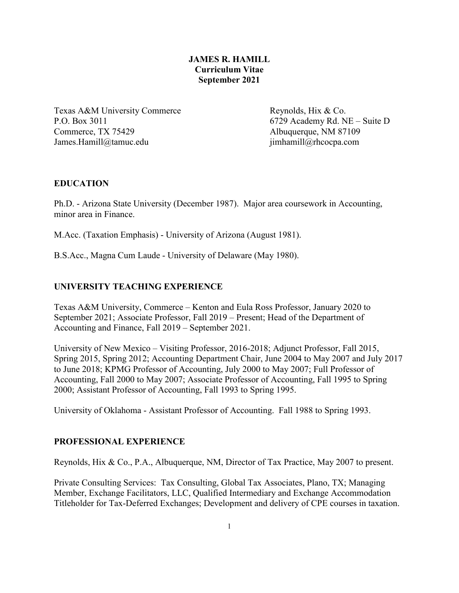# **JAMES R. HAMILL Curriculum Vitae September 2021**

Texas A&M University Commerce Reynolds, Hix & Co. P.O. Box 3011 6729 Academy Rd. NE – Suite D Commerce, TX 75429 Albuquerque, NM 87109 James.Hamill@tamuc.edu jimhamill@rhcocpa.com

# **EDUCATION**

Ph.D. - Arizona State University (December 1987). Major area coursework in Accounting, minor area in Finance.

M.Acc. (Taxation Emphasis) - University of Arizona (August 1981).

B.S.Acc., Magna Cum Laude - University of Delaware (May 1980).

# **UNIVERSITY TEACHING EXPERIENCE**

Texas A&M University, Commerce – Kenton and Eula Ross Professor, January 2020 to September 2021; Associate Professor, Fall 2019 – Present; Head of the Department of Accounting and Finance, Fall 2019 – September 2021.

University of New Mexico – Visiting Professor, 2016-2018; Adjunct Professor, Fall 2015, Spring 2015, Spring 2012; Accounting Department Chair, June 2004 to May 2007 and July 2017 to June 2018; KPMG Professor of Accounting, July 2000 to May 2007; Full Professor of Accounting, Fall 2000 to May 2007; Associate Professor of Accounting, Fall 1995 to Spring 2000; Assistant Professor of Accounting, Fall 1993 to Spring 1995.

University of Oklahoma - Assistant Professor of Accounting. Fall 1988 to Spring 1993.

# **PROFESSIONAL EXPERIENCE**

Reynolds, Hix & Co., P.A., Albuquerque, NM, Director of Tax Practice, May 2007 to present.

Private Consulting Services: Tax Consulting, Global Tax Associates, Plano, TX; Managing Member, Exchange Facilitators, LLC, Qualified Intermediary and Exchange Accommodation Titleholder for Tax-Deferred Exchanges; Development and delivery of CPE courses in taxation.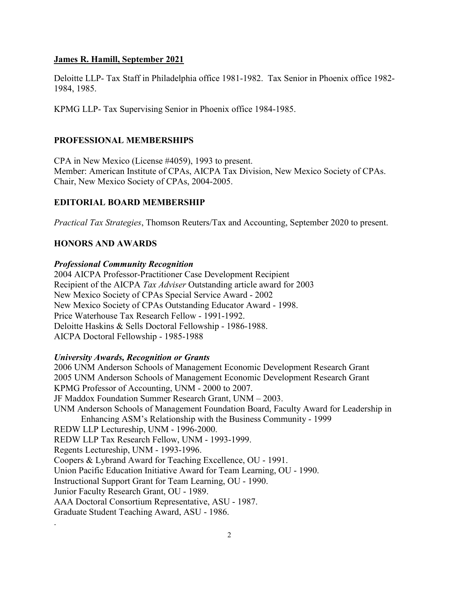Deloitte LLP- Tax Staff in Philadelphia office 1981-1982. Tax Senior in Phoenix office 1982- 1984, 1985.

KPMG LLP- Tax Supervising Senior in Phoenix office 1984-1985.

# **PROFESSIONAL MEMBERSHIPS**

CPA in New Mexico (License #4059), 1993 to present. Member: American Institute of CPAs, AICPA Tax Division, New Mexico Society of CPAs. Chair, New Mexico Society of CPAs, 2004-2005.

# **EDITORIAL BOARD MEMBERSHIP**

*Practical Tax Strategies*, Thomson Reuters/Tax and Accounting, September 2020 to present.

# **HONORS AND AWARDS**

### *Professional Community Recognition*

2004 AICPA Professor-Practitioner Case Development Recipient Recipient of the AICPA *Tax Adviser* Outstanding article award for 2003 New Mexico Society of CPAs Special Service Award - 2002 New Mexico Society of CPAs Outstanding Educator Award - 1998. Price Waterhouse Tax Research Fellow - 1991-1992. Deloitte Haskins & Sells Doctoral Fellowship - 1986-1988. AICPA Doctoral Fellowship - 1985-1988

### *University Awards, Recognition or Grants*

2006 UNM Anderson Schools of Management Economic Development Research Grant 2005 UNM Anderson Schools of Management Economic Development Research Grant KPMG Professor of Accounting, UNM - 2000 to 2007. JF Maddox Foundation Summer Research Grant, UNM – 2003. UNM Anderson Schools of Management Foundation Board, Faculty Award for Leadership in Enhancing ASM's Relationship with the Business Community - 1999 REDW LLP Lectureship, UNM - 1996-2000. REDW LLP Tax Research Fellow, UNM - 1993-1999. Regents Lectureship, UNM - 1993-1996. Coopers & Lybrand Award for Teaching Excellence, OU - 1991. Union Pacific Education Initiative Award for Team Learning, OU - 1990. Instructional Support Grant for Team Learning, OU - 1990. Junior Faculty Research Grant, OU - 1989. AAA Doctoral Consortium Representative, ASU - 1987. Graduate Student Teaching Award, ASU - 1986. .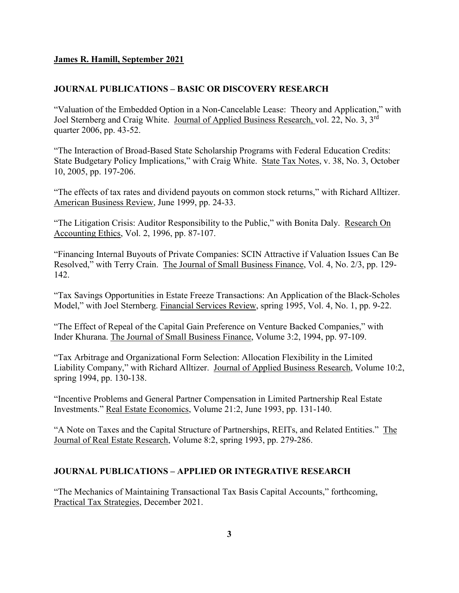# **JOURNAL PUBLICATIONS – BASIC OR DISCOVERY RESEARCH**

"Valuation of the Embedded Option in a Non-Cancelable Lease: Theory and Application," with Joel Sternberg and Craig White. Journal of Applied Business Research, vol. 22, No. 3, 3rd quarter 2006, pp. 43-52.

"The Interaction of Broad-Based State Scholarship Programs with Federal Education Credits: State Budgetary Policy Implications," with Craig White. State Tax Notes, v. 38, No. 3, October 10, 2005, pp. 197-206.

"The effects of tax rates and dividend payouts on common stock returns," with Richard Alltizer. American Business Review, June 1999, pp. 24-33.

"The Litigation Crisis: Auditor Responsibility to the Public," with Bonita Daly. Research On Accounting Ethics, Vol. 2, 1996, pp. 87-107.

"Financing Internal Buyouts of Private Companies: SCIN Attractive if Valuation Issues Can Be Resolved," with Terry Crain. The Journal of Small Business Finance, Vol. 4, No. 2/3, pp. 129- 142.

"Tax Savings Opportunities in Estate Freeze Transactions: An Application of the Black-Scholes Model," with Joel Sternberg. Financial Services Review, spring 1995, Vol. 4, No. 1, pp. 9-22.

"The Effect of Repeal of the Capital Gain Preference on Venture Backed Companies," with Inder Khurana. The Journal of Small Business Finance, Volume 3:2, 1994, pp. 97-109.

"Tax Arbitrage and Organizational Form Selection: Allocation Flexibility in the Limited Liability Company," with Richard Alltizer. Journal of Applied Business Research, Volume 10:2, spring 1994, pp. 130-138.

"Incentive Problems and General Partner Compensation in Limited Partnership Real Estate Investments." Real Estate Economics, Volume 21:2, June 1993, pp. 131-140.

"A Note on Taxes and the Capital Structure of Partnerships, REITs, and Related Entities." The Journal of Real Estate Research, Volume 8:2, spring 1993, pp. 279-286.

### **JOURNAL PUBLICATIONS – APPLIED OR INTEGRATIVE RESEARCH**

"The Mechanics of Maintaining Transactional Tax Basis Capital Accounts," forthcoming, Practical Tax Strategies, December 2021.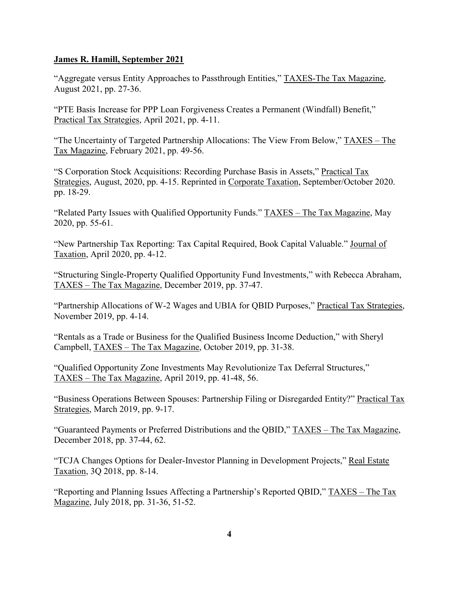"Aggregate versus Entity Approaches to Passthrough Entities," TAXES-The Tax Magazine, August 2021, pp. 27-36.

"PTE Basis Increase for PPP Loan Forgiveness Creates a Permanent (Windfall) Benefit," Practical Tax Strategies, April 2021, pp. 4-11.

"The Uncertainty of Targeted Partnership Allocations: The View From Below," TAXES – The Tax Magazine, February 2021, pp. 49-56.

"S Corporation Stock Acquisitions: Recording Purchase Basis in Assets," Practical Tax Strategies, August, 2020, pp. 4-15. Reprinted in Corporate Taxation, September/October 2020. pp. 18-29.

"Related Party Issues with Qualified Opportunity Funds." TAXES – The Tax Magazine, May 2020, pp. 55-61.

"New Partnership Tax Reporting: Tax Capital Required, Book Capital Valuable." Journal of Taxation, April 2020, pp. 4-12.

"Structuring Single-Property Qualified Opportunity Fund Investments," with Rebecca Abraham, TAXES – The Tax Magazine, December 2019, pp. 37-47.

"Partnership Allocations of W-2 Wages and UBIA for QBID Purposes," Practical Tax Strategies, November 2019, pp. 4-14.

"Rentals as a Trade or Business for the Qualified Business Income Deduction," with Sheryl Campbell, TAXES – The Tax Magazine, October 2019, pp. 31-38.

"Qualified Opportunity Zone Investments May Revolutionize Tax Deferral Structures," TAXES – The Tax Magazine, April 2019, pp. 41-48, 56.

"Business Operations Between Spouses: Partnership Filing or Disregarded Entity?" Practical Tax Strategies, March 2019, pp. 9-17.

"Guaranteed Payments or Preferred Distributions and the QBID," TAXES – The Tax Magazine, December 2018, pp. 37-44, 62.

"TCJA Changes Options for Dealer-Investor Planning in Development Projects," Real Estate Taxation, 3Q 2018, pp. 8-14.

"Reporting and Planning Issues Affecting a Partnership's Reported QBID," TAXES – The Tax Magazine, July 2018, pp. 31-36, 51-52.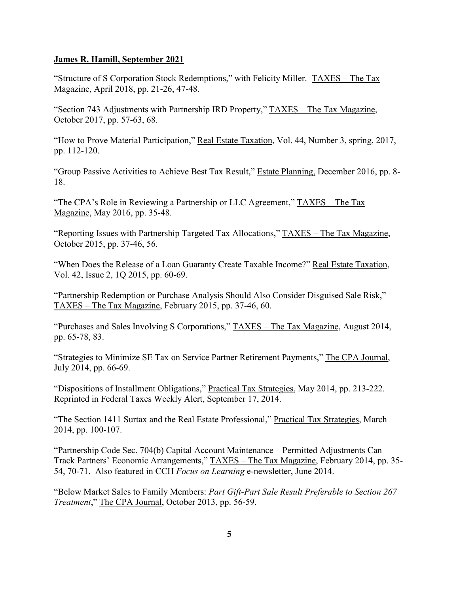"Structure of S Corporation Stock Redemptions," with Felicity Miller. TAXES – The Tax Magazine, April 2018, pp. 21-26, 47-48.

"Section 743 Adjustments with Partnership IRD Property," TAXES – The Tax Magazine, October 2017, pp. 57-63, 68.

"How to Prove Material Participation," Real Estate Taxation, Vol. 44, Number 3, spring, 2017, pp. 112-120.

"Group Passive Activities to Achieve Best Tax Result," Estate Planning, December 2016, pp. 8- 18.

"The CPA's Role in Reviewing a Partnership or LLC Agreement," TAXES – The Tax Magazine, May 2016, pp. 35-48.

"Reporting Issues with Partnership Targeted Tax Allocations," TAXES – The Tax Magazine, October 2015, pp. 37-46, 56.

"When Does the Release of a Loan Guaranty Create Taxable Income?" Real Estate Taxation, Vol. 42, Issue 2, 1Q 2015, pp. 60-69.

"Partnership Redemption or Purchase Analysis Should Also Consider Disguised Sale Risk," TAXES – The Tax Magazine, February 2015, pp. 37-46, 60.

"Purchases and Sales Involving S Corporations," TAXES – The Tax Magazine, August 2014, pp. 65-78, 83.

"Strategies to Minimize SE Tax on Service Partner Retirement Payments," The CPA Journal, July 2014, pp. 66-69.

"Dispositions of Installment Obligations," Practical Tax Strategies, May 2014, pp. 213-222. Reprinted in Federal Taxes Weekly Alert, September 17, 2014.

"The Section 1411 Surtax and the Real Estate Professional," Practical Tax Strategies, March 2014, pp. 100-107.

"Partnership Code Sec. 704(b) Capital Account Maintenance – Permitted Adjustments Can Track Partners' Economic Arrangements," TAXES – The Tax Magazine, February 2014, pp. 35- 54, 70-71. Also featured in CCH *Focus on Learning* e-newsletter, June 2014.

"Below Market Sales to Family Members: *Part Gift-Part Sale Result Preferable to Section 267 Treatment*," The CPA Journal, October 2013, pp. 56-59.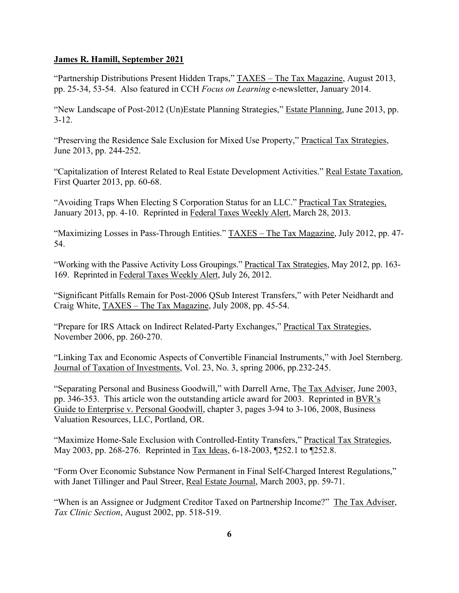"Partnership Distributions Present Hidden Traps," TAXES - The Tax Magazine, August 2013, pp. 25-34, 53-54. Also featured in CCH *Focus on Learning* e-newsletter, January 2014.

"New Landscape of Post-2012 (Un)Estate Planning Strategies," Estate Planning, June 2013, pp. 3-12.

"Preserving the Residence Sale Exclusion for Mixed Use Property," Practical Tax Strategies, June 2013, pp. 244-252.

"Capitalization of Interest Related to Real Estate Development Activities." Real Estate Taxation, First Quarter 2013, pp. 60-68.

"Avoiding Traps When Electing S Corporation Status for an LLC." Practical Tax Strategies, January 2013, pp. 4-10. Reprinted in Federal Taxes Weekly Alert, March 28, 2013.

"Maximizing Losses in Pass-Through Entities." TAXES – The Tax Magazine, July 2012, pp. 47-54.

"Working with the Passive Activity Loss Groupings." Practical Tax Strategies, May 2012, pp. 163- 169. Reprinted in Federal Taxes Weekly Alert, July 26, 2012.

"Significant Pitfalls Remain for Post-2006 QSub Interest Transfers," with Peter Neidhardt and Craig White, TAXES – The Tax Magazine, July 2008, pp. 45-54.

"Prepare for IRS Attack on Indirect Related-Party Exchanges," Practical Tax Strategies, November 2006, pp. 260-270.

"Linking Tax and Economic Aspects of Convertible Financial Instruments," with Joel Sternberg. Journal of Taxation of Investments, Vol. 23, No. 3, spring 2006, pp.232-245.

"Separating Personal and Business Goodwill," with Darrell Arne, The Tax Adviser, June 2003, pp. 346-353. This article won the outstanding article award for 2003. Reprinted in BVR's Guide to Enterprise v. Personal Goodwill, chapter 3, pages 3-94 to 3-106, 2008, Business Valuation Resources, LLC, Portland, OR.

"Maximize Home-Sale Exclusion with Controlled-Entity Transfers," Practical Tax Strategies, May 2003, pp. 268-276. Reprinted in Tax Ideas, 6-18-2003, ¶252.1 to ¶252.8.

"Form Over Economic Substance Now Permanent in Final Self-Charged Interest Regulations," with Janet Tillinger and Paul Streer, Real Estate Journal, March 2003, pp. 59-71.

"When is an Assignee or Judgment Creditor Taxed on Partnership Income?" The Tax Adviser, *Tax Clinic Section*, August 2002, pp. 518-519.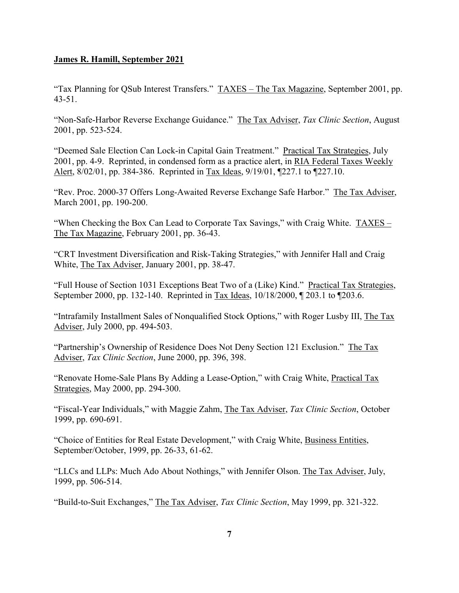"Tax Planning for QSub Interest Transfers." TAXES – The Tax Magazine, September 2001, pp. 43-51.

"Non-Safe-Harbor Reverse Exchange Guidance." The Tax Adviser, *Tax Clinic Section*, August 2001, pp. 523-524.

"Deemed Sale Election Can Lock-in Capital Gain Treatment." Practical Tax Strategies, July 2001, pp. 4-9. Reprinted, in condensed form as a practice alert, in RIA Federal Taxes Weekly Alert, 8/02/01, pp. 384-386. Reprinted in Tax Ideas, 9/19/01, ¶227.1 to ¶227.10.

"Rev. Proc. 2000-37 Offers Long-Awaited Reverse Exchange Safe Harbor." The Tax Adviser, March 2001, pp. 190-200.

"When Checking the Box Can Lead to Corporate Tax Savings," with Craig White. TAXES – The Tax Magazine, February 2001, pp. 36-43.

"CRT Investment Diversification and Risk-Taking Strategies," with Jennifer Hall and Craig White, The Tax Adviser, January 2001, pp. 38-47.

"Full House of Section 1031 Exceptions Beat Two of a (Like) Kind." Practical Tax Strategies, September 2000, pp. 132-140. Reprinted in Tax Ideas, 10/18/2000, ¶ 203.1 to ¶203.6.

"Intrafamily Installment Sales of Nonqualified Stock Options," with Roger Lusby III, The Tax Adviser, July 2000, pp. 494-503.

"Partnership's Ownership of Residence Does Not Deny Section 121 Exclusion." The Tax Adviser, *Tax Clinic Section*, June 2000, pp. 396, 398.

"Renovate Home-Sale Plans By Adding a Lease-Option," with Craig White, Practical Tax Strategies, May 2000, pp. 294-300.

"Fiscal-Year Individuals," with Maggie Zahm, The Tax Adviser, *Tax Clinic Section*, October 1999, pp. 690-691.

"Choice of Entities for Real Estate Development," with Craig White, Business Entities, September/October, 1999, pp. 26-33, 61-62.

"LLCs and LLPs: Much Ado About Nothings," with Jennifer Olson. The Tax Adviser, July, 1999, pp. 506-514.

"Build-to-Suit Exchanges," The Tax Adviser, *Tax Clinic Section*, May 1999, pp. 321-322.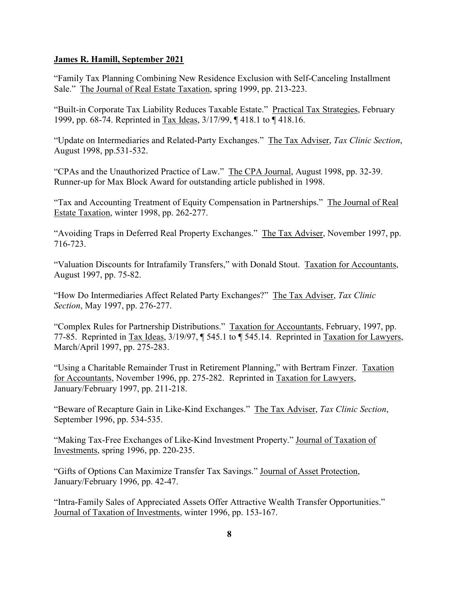"Family Tax Planning Combining New Residence Exclusion with Self-Canceling Installment Sale." The Journal of Real Estate Taxation, spring 1999, pp. 213-223.

"Built-in Corporate Tax Liability Reduces Taxable Estate." Practical Tax Strategies, February 1999, pp. 68-74. Reprinted in Tax Ideas, 3/17/99, ¶ 418.1 to ¶ 418.16.

"Update on Intermediaries and Related-Party Exchanges." The Tax Adviser, *Tax Clinic Section*, August 1998, pp.531-532.

"CPAs and the Unauthorized Practice of Law." The CPA Journal, August 1998, pp. 32-39. Runner-up for Max Block Award for outstanding article published in 1998.

"Tax and Accounting Treatment of Equity Compensation in Partnerships."The Journal of Real Estate Taxation, winter 1998, pp. 262-277.

"Avoiding Traps in Deferred Real Property Exchanges." The Tax Adviser, November 1997, pp. 716-723.

"Valuation Discounts for Intrafamily Transfers," with Donald Stout. Taxation for Accountants, August 1997, pp. 75-82.

"How Do Intermediaries Affect Related Party Exchanges?" The Tax Adviser, *Tax Clinic Section*, May 1997, pp. 276-277.

"Complex Rules for Partnership Distributions." Taxation for Accountants, February, 1997, pp. 77-85. Reprinted in Tax Ideas, 3/19/97, ¶ 545.1 to ¶ 545.14. Reprinted in Taxation for Lawyers, March/April 1997, pp. 275-283.

"Using a Charitable Remainder Trust in Retirement Planning," with Bertram Finzer. Taxation for Accountants, November 1996, pp. 275-282. Reprinted in Taxation for Lawyers, January/February 1997, pp. 211-218.

"Beware of Recapture Gain in Like-Kind Exchanges." The Tax Adviser, *Tax Clinic Section*, September 1996, pp. 534-535.

"Making Tax-Free Exchanges of Like-Kind Investment Property." Journal of Taxation of Investments, spring 1996, pp. 220-235.

"Gifts of Options Can Maximize Transfer Tax Savings." Journal of Asset Protection, January/February 1996, pp. 42-47.

"Intra-Family Sales of Appreciated Assets Offer Attractive Wealth Transfer Opportunities." Journal of Taxation of Investments, winter 1996, pp. 153-167.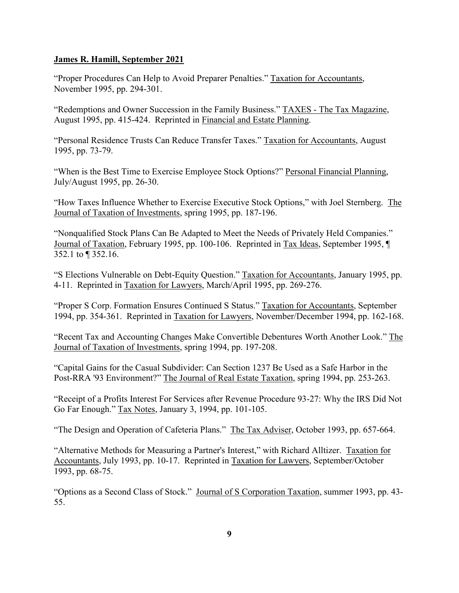"Proper Procedures Can Help to Avoid Preparer Penalties." Taxation for Accountants, November 1995, pp. 294-301.

"Redemptions and Owner Succession in the Family Business." TAXES - The Tax Magazine, August 1995, pp. 415-424. Reprinted in Financial and Estate Planning.

"Personal Residence Trusts Can Reduce Transfer Taxes." Taxation for Accountants, August 1995, pp. 73-79.

"When is the Best Time to Exercise Employee Stock Options?" Personal Financial Planning, July/August 1995, pp. 26-30.

"How Taxes Influence Whether to Exercise Executive Stock Options," with Joel Sternberg. The Journal of Taxation of Investments, spring 1995, pp. 187-196.

"Nonqualified Stock Plans Can Be Adapted to Meet the Needs of Privately Held Companies." Journal of Taxation, February 1995, pp. 100-106. Reprinted in Tax Ideas, September 1995, ¶ 352.1 to ¶ 352.16.

"S Elections Vulnerable on Debt-Equity Question." Taxation for Accountants, January 1995, pp. 4-11. Reprinted in Taxation for Lawyers, March/April 1995, pp. 269-276.

"Proper S Corp. Formation Ensures Continued S Status." Taxation for Accountants, September 1994, pp. 354-361. Reprinted in Taxation for Lawyers, November/December 1994, pp. 162-168.

"Recent Tax and Accounting Changes Make Convertible Debentures Worth Another Look." The Journal of Taxation of Investments, spring 1994, pp. 197-208.

"Capital Gains for the Casual Subdivider: Can Section 1237 Be Used as a Safe Harbor in the Post-RRA '93 Environment?" The Journal of Real Estate Taxation, spring 1994, pp. 253-263.

"Receipt of a Profits Interest For Services after Revenue Procedure 93-27: Why the IRS Did Not Go Far Enough." Tax Notes, January 3, 1994, pp. 101-105.

"The Design and Operation of Cafeteria Plans." The Tax Adviser, October 1993, pp. 657-664.

"Alternative Methods for Measuring a Partner's Interest," with Richard Alltizer. Taxation for Accountants, July 1993, pp. 10-17. Reprinted in Taxation for Lawyers, September/October 1993, pp. 68-75.

"Options as a Second Class of Stock." Journal of S Corporation Taxation, summer 1993, pp. 43- 55.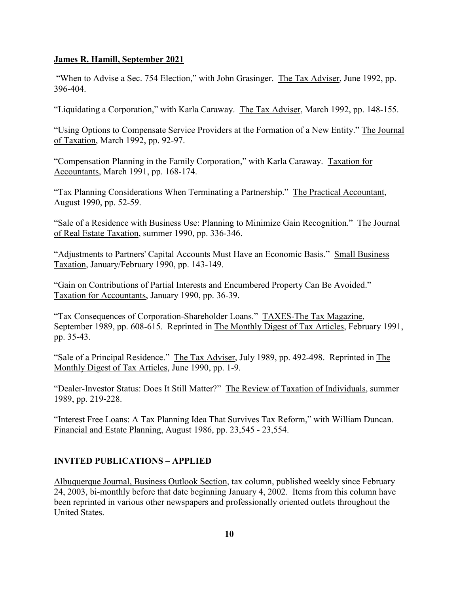"When to Advise a Sec. 754 Election," with John Grasinger. The Tax Adviser, June 1992, pp. 396-404.

"Liquidating a Corporation," with Karla Caraway. The Tax Adviser, March 1992, pp. 148-155.

"Using Options to Compensate Service Providers at the Formation of a New Entity." The Journal of Taxation, March 1992, pp. 92-97.

"Compensation Planning in the Family Corporation," with Karla Caraway. Taxation for Accountants, March 1991, pp. 168-174.

"Tax Planning Considerations When Terminating a Partnership." The Practical Accountant, August 1990, pp. 52-59.

"Sale of a Residence with Business Use: Planning to Minimize Gain Recognition." The Journal of Real Estate Taxation, summer 1990, pp. 336-346.

"Adjustments to Partners' Capital Accounts Must Have an Economic Basis." Small Business Taxation, January/February 1990, pp. 143-149.

"Gain on Contributions of Partial Interests and Encumbered Property Can Be Avoided." Taxation for Accountants, January 1990, pp. 36-39.

"Tax Consequences of Corporation-Shareholder Loans." TAXES-The Tax Magazine, September 1989, pp. 608-615. Reprinted in The Monthly Digest of Tax Articles, February 1991, pp. 35-43.

"Sale of a Principal Residence." The Tax Adviser, July 1989, pp. 492-498. Reprinted in The Monthly Digest of Tax Articles, June 1990, pp. 1-9.

"Dealer-Investor Status: Does It Still Matter?" The Review of Taxation of Individuals, summer 1989, pp. 219-228.

"Interest Free Loans: A Tax Planning Idea That Survives Tax Reform," with William Duncan. Financial and Estate Planning, August 1986, pp. 23,545 - 23,554.

# **INVITED PUBLICATIONS – APPLIED**

Albuquerque Journal, Business Outlook Section, tax column, published weekly since February 24, 2003, bi-monthly before that date beginning January 4, 2002. Items from this column have been reprinted in various other newspapers and professionally oriented outlets throughout the United States.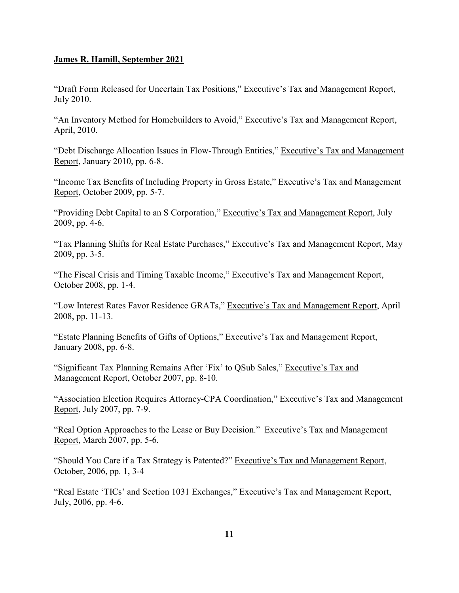"Draft Form Released for Uncertain Tax Positions," Executive's Tax and Management Report, July 2010.

"An Inventory Method for Homebuilders to Avoid," Executive's Tax and Management Report, April, 2010.

"Debt Discharge Allocation Issues in Flow-Through Entities," Executive's Tax and Management Report, January 2010, pp. 6-8.

"Income Tax Benefits of Including Property in Gross Estate," Executive's Tax and Management Report, October 2009, pp. 5-7.

"Providing Debt Capital to an S Corporation," Executive's Tax and Management Report, July 2009, pp. 4-6.

"Tax Planning Shifts for Real Estate Purchases," Executive's Tax and Management Report, May 2009, pp. 3-5.

"The Fiscal Crisis and Timing Taxable Income," Executive's Tax and Management Report, October 2008, pp. 1-4.

"Low Interest Rates Favor Residence GRATs," Executive's Tax and Management Report, April 2008, pp. 11-13.

"Estate Planning Benefits of Gifts of Options," Executive's Tax and Management Report, January 2008, pp. 6-8.

"Significant Tax Planning Remains After 'Fix' to QSub Sales," Executive's Tax and Management Report, October 2007, pp. 8-10.

"Association Election Requires Attorney-CPA Coordination," Executive's Tax and Management Report, July 2007, pp. 7-9.

"Real Option Approaches to the Lease or Buy Decision." Executive's Tax and Management Report, March 2007, pp. 5-6.

"Should You Care if a Tax Strategy is Patented?" Executive's Tax and Management Report, October, 2006, pp. 1, 3-4

"Real Estate 'TICs' and Section 1031 Exchanges," Executive's Tax and Management Report, July, 2006, pp. 4-6.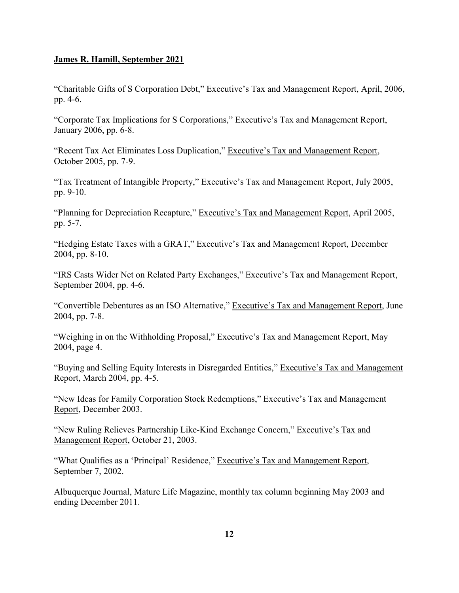"Charitable Gifts of S Corporation Debt," Executive's Tax and Management Report, April, 2006, pp. 4-6.

"Corporate Tax Implications for S Corporations," Executive's Tax and Management Report, January 2006, pp. 6-8.

"Recent Tax Act Eliminates Loss Duplication," Executive's Tax and Management Report, October 2005, pp. 7-9.

"Tax Treatment of Intangible Property," Executive's Tax and Management Report, July 2005, pp. 9-10.

"Planning for Depreciation Recapture," Executive's Tax and Management Report, April 2005, pp. 5-7.

"Hedging Estate Taxes with a GRAT," Executive's Tax and Management Report, December 2004, pp. 8-10.

"IRS Casts Wider Net on Related Party Exchanges," Executive's Tax and Management Report, September 2004, pp. 4-6.

"Convertible Debentures as an ISO Alternative," Executive's Tax and Management Report, June 2004, pp. 7-8.

"Weighing in on the Withholding Proposal," Executive's Tax and Management Report, May 2004, page 4.

"Buying and Selling Equity Interests in Disregarded Entities," Executive's Tax and Management Report, March 2004, pp. 4-5.

"New Ideas for Family Corporation Stock Redemptions," Executive's Tax and Management Report, December 2003.

"New Ruling Relieves Partnership Like-Kind Exchange Concern," Executive's Tax and Management Report, October 21, 2003.

"What Qualifies as a 'Principal' Residence," Executive's Tax and Management Report, September 7, 2002.

Albuquerque Journal, Mature Life Magazine, monthly tax column beginning May 2003 and ending December 2011.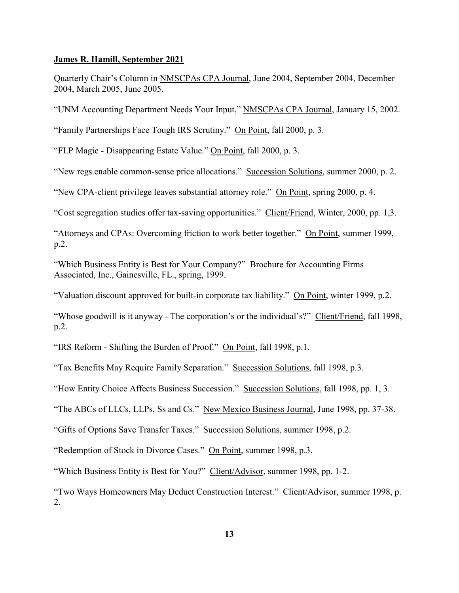Quarterly Chair's Column in NMSCPAs CPA Journal, June 2004, September 2004, December 2004, March 2005, June 2005.

"UNM Accounting Department Needs Your Input," NMSCPAs CPA Journal, January 15, 2002.

"Family Partnerships Face Tough IRS Scrutiny." On Point, fall 2000, p. 3.

"FLP Magic - Disappearing Estate Value." On Point, fall 2000, p. 3.

"New regs.enable common-sense price allocations." Succession Solutions, summer 2000, p. 2.

"New CPA-client privilege leaves substantial attorney role." On Point, spring 2000, p. 4.

"Cost segregation studies offer tax-saving opportunities." Client/Friend, Winter, 2000, pp. 1,3.

"Attorneys and CPAs: Overcoming friction to work better together." On Point, summer 1999, p.2.

"Which Business Entity is Best for Your Company?" Brochure for Accounting Firms Associated, Inc., Gainesville, FL., spring, 1999.

"Valuation discount approved for built-in corporate tax liability." On Point, winter 1999, p.2.

"Whose goodwill is it anyway - The corporation's or the individual's?" Client/Friend, fall 1998, p.2.

"IRS Reform - Shifting the Burden of Proof." On Point, fall 1998, p.1.

"Tax Benefits May Require Family Separation." Succession Solutions, fall 1998, p.3.

"How Entity Choice Affects Business Succession." Succession Solutions, fall 1998, pp. 1, 3.

"The ABCs of LLCs, LLPs, Ss and Cs." New Mexico Business Journal, June 1998, pp. 37-38.

"Gifts of Options Save Transfer Taxes." Succession Solutions, summer 1998, p.2.

"Redemption of Stock in Divorce Cases." On Point, summer 1998, p.3.

"Which Business Entity is Best for You?" Client/Advisor, summer 1998, pp. 1-2.

"Two Ways Homeowners May Deduct Construction Interest." Client/Advisor, summer 1998, p. 2.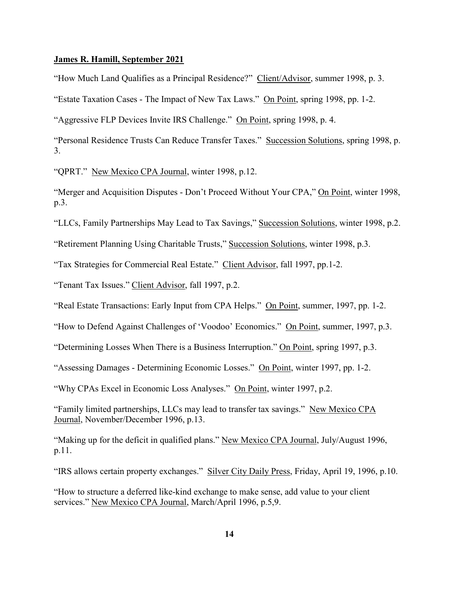"How Much Land Qualifies as a Principal Residence?" Client/Advisor, summer 1998, p. 3.

"Estate Taxation Cases - The Impact of New Tax Laws." On Point, spring 1998, pp. 1-2.

"Aggressive FLP Devices Invite IRS Challenge." On Point, spring 1998, p. 4.

"Personal Residence Trusts Can Reduce Transfer Taxes." Succession Solutions, spring 1998, p. 3.

"QPRT." New Mexico CPA Journal, winter 1998, p.12.

"Merger and Acquisition Disputes - Don't Proceed Without Your CPA," On Point, winter 1998, p.3.

"LLCs, Family Partnerships May Lead to Tax Savings," Succession Solutions, winter 1998, p.2.

"Retirement Planning Using Charitable Trusts," Succession Solutions, winter 1998, p.3.

"Tax Strategies for Commercial Real Estate." Client Advisor, fall 1997, pp.1-2.

"Tenant Tax Issues." Client Advisor, fall 1997, p.2.

"Real Estate Transactions: Early Input from CPA Helps." On Point, summer, 1997, pp. 1-2.

"How to Defend Against Challenges of 'Voodoo' Economics." On Point, summer, 1997, p.3.

"Determining Losses When There is a Business Interruption." On Point, spring 1997, p.3.

"Assessing Damages - Determining Economic Losses." On Point, winter 1997, pp. 1-2.

"Why CPAs Excel in Economic Loss Analyses." On Point, winter 1997, p.2.

"Family limited partnerships, LLCs may lead to transfer tax savings." New Mexico CPA Journal, November/December 1996, p.13.

"Making up for the deficit in qualified plans." New Mexico CPA Journal, July/August 1996, p.11.

"IRS allows certain property exchanges." Silver City Daily Press, Friday, April 19, 1996, p.10.

"How to structure a deferred like-kind exchange to make sense, add value to your client services." New Mexico CPA Journal, March/April 1996, p.5,9.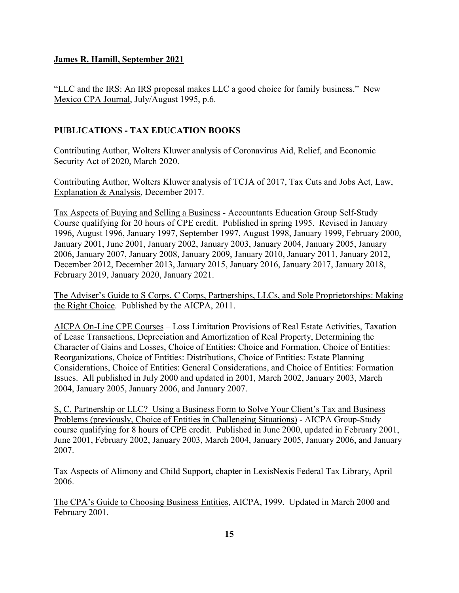"LLC and the IRS: An IRS proposal makes LLC a good choice for family business." New Mexico CPA Journal, July/August 1995, p.6.

# **PUBLICATIONS - TAX EDUCATION BOOKS**

Contributing Author, Wolters Kluwer analysis of Coronavirus Aid, Relief, and Economic Security Act of 2020, March 2020.

Contributing Author, Wolters Kluwer analysis of TCJA of 2017, Tax Cuts and Jobs Act, Law, Explanation & Analysis, December 2017.

Tax Aspects of Buying and Selling a Business - Accountants Education Group Self-Study Course qualifying for 20 hours of CPE credit. Published in spring 1995. Revised in January 1996, August 1996, January 1997, September 1997, August 1998, January 1999, February 2000, January 2001, June 2001, January 2002, January 2003, January 2004, January 2005, January 2006, January 2007, January 2008, January 2009, January 2010, January 2011, January 2012, December 2012, December 2013, January 2015, January 2016, January 2017, January 2018, February 2019, January 2020, January 2021.

The Adviser's Guide to S Corps, C Corps, Partnerships, LLCs, and Sole Proprietorships: Making the Right Choice. Published by the AICPA, 2011.

AICPA On-Line CPE Courses – Loss Limitation Provisions of Real Estate Activities, Taxation of Lease Transactions, Depreciation and Amortization of Real Property, Determining the Character of Gains and Losses, Choice of Entities: Choice and Formation, Choice of Entities: Reorganizations, Choice of Entities: Distributions, Choice of Entities: Estate Planning Considerations, Choice of Entities: General Considerations, and Choice of Entities: Formation Issues. All published in July 2000 and updated in 2001, March 2002, January 2003, March 2004, January 2005, January 2006, and January 2007.

S, C, Partnership or LLC? Using a Business Form to Solve Your Client's Tax and Business Problems (previously, Choice of Entities in Challenging Situations) - AICPA Group-Study course qualifying for 8 hours of CPE credit. Published in June 2000, updated in February 2001, June 2001, February 2002, January 2003, March 2004, January 2005, January 2006, and January 2007.

Tax Aspects of Alimony and Child Support, chapter in LexisNexis Federal Tax Library, April 2006.

The CPA's Guide to Choosing Business Entities, AICPA, 1999. Updated in March 2000 and February 2001.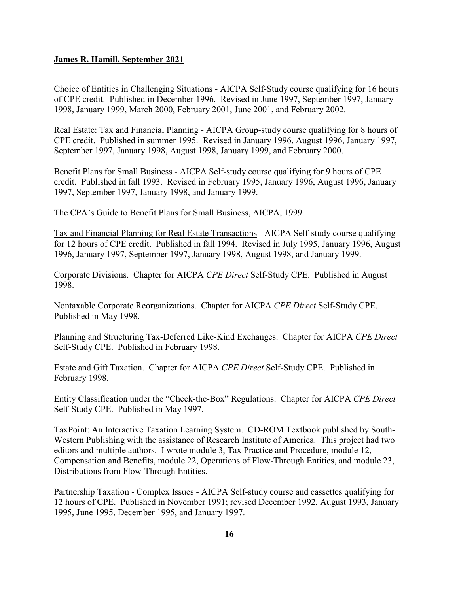Choice of Entities in Challenging Situations - AICPA Self-Study course qualifying for 16 hours of CPE credit. Published in December 1996. Revised in June 1997, September 1997, January 1998, January 1999, March 2000, February 2001, June 2001, and February 2002.

Real Estate: Tax and Financial Planning - AICPA Group-study course qualifying for 8 hours of CPE credit. Published in summer 1995. Revised in January 1996, August 1996, January 1997, September 1997, January 1998, August 1998, January 1999, and February 2000.

Benefit Plans for Small Business - AICPA Self-study course qualifying for 9 hours of CPE credit. Published in fall 1993. Revised in February 1995, January 1996, August 1996, January 1997, September 1997, January 1998, and January 1999.

The CPA's Guide to Benefit Plans for Small Business, AICPA, 1999.

Tax and Financial Planning for Real Estate Transactions - AICPA Self-study course qualifying for 12 hours of CPE credit. Published in fall 1994. Revised in July 1995, January 1996, August 1996, January 1997, September 1997, January 1998, August 1998, and January 1999.

Corporate Divisions. Chapter for AICPA *CPE Direct* Self-Study CPE. Published in August 1998.

Nontaxable Corporate Reorganizations. Chapter for AICPA *CPE Direct* Self-Study CPE. Published in May 1998.

Planning and Structuring Tax-Deferred Like-Kind Exchanges. Chapter for AICPA *CPE Direct* Self-Study CPE. Published in February 1998.

Estate and Gift Taxation. Chapter for AICPA *CPE Direct* Self-Study CPE. Published in February 1998.

Entity Classification under the "Check-the-Box" Regulations. Chapter for AICPA *CPE Direct* Self-Study CPE. Published in May 1997.

TaxPoint: An Interactive Taxation Learning System. CD-ROM Textbook published by South-Western Publishing with the assistance of Research Institute of America. This project had two editors and multiple authors. I wrote module 3, Tax Practice and Procedure, module 12, Compensation and Benefits, module 22, Operations of Flow-Through Entities, and module 23, Distributions from Flow-Through Entities.

Partnership Taxation - Complex Issues - AICPA Self-study course and cassettes qualifying for 12 hours of CPE. Published in November 1991; revised December 1992, August 1993, January 1995, June 1995, December 1995, and January 1997.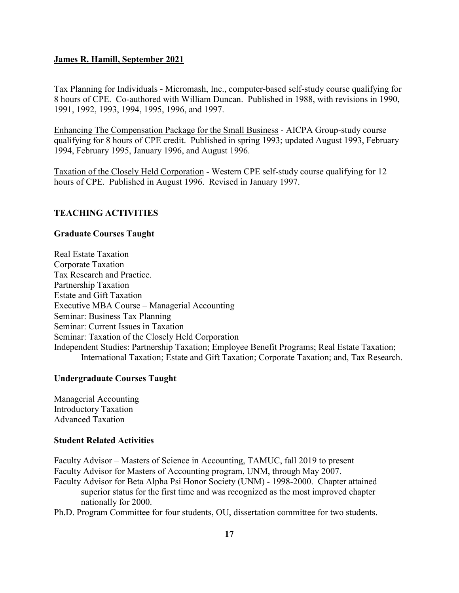Tax Planning for Individuals - Micromash, Inc., computer-based self-study course qualifying for 8 hours of CPE. Co-authored with William Duncan. Published in 1988, with revisions in 1990, 1991, 1992, 1993, 1994, 1995, 1996, and 1997.

Enhancing The Compensation Package for the Small Business - AICPA Group-study course qualifying for 8 hours of CPE credit. Published in spring 1993; updated August 1993, February 1994, February 1995, January 1996, and August 1996.

Taxation of the Closely Held Corporation - Western CPE self-study course qualifying for 12 hours of CPE. Published in August 1996. Revised in January 1997.

#### **TEACHING ACTIVITIES**

#### **Graduate Courses Taught**

Real Estate Taxation Corporate Taxation Tax Research and Practice. Partnership Taxation Estate and Gift Taxation Executive MBA Course – Managerial Accounting Seminar: Business Tax Planning Seminar: Current Issues in Taxation Seminar: Taxation of the Closely Held Corporation Independent Studies: Partnership Taxation; Employee Benefit Programs; Real Estate Taxation; International Taxation; Estate and Gift Taxation; Corporate Taxation; and, Tax Research.

#### **Undergraduate Courses Taught**

Managerial Accounting Introductory Taxation Advanced Taxation

#### **Student Related Activities**

Faculty Advisor – Masters of Science in Accounting, TAMUC, fall 2019 to present Faculty Advisor for Masters of Accounting program, UNM, through May 2007.

Faculty Advisor for Beta Alpha Psi Honor Society (UNM) - 1998-2000. Chapter attained superior status for the first time and was recognized as the most improved chapter nationally for 2000.

Ph.D. Program Committee for four students, OU, dissertation committee for two students.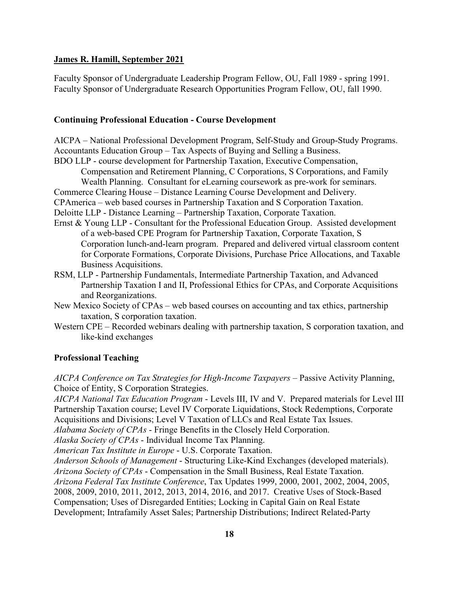Faculty Sponsor of Undergraduate Leadership Program Fellow, OU, Fall 1989 - spring 1991. Faculty Sponsor of Undergraduate Research Opportunities Program Fellow, OU, fall 1990.

### **Continuing Professional Education - Course Development**

AICPA – National Professional Development Program, Self-Study and Group-Study Programs. Accountants Education Group – Tax Aspects of Buying and Selling a Business.

BDO LLP - course development for Partnership Taxation, Executive Compensation,

Compensation and Retirement Planning, C Corporations, S Corporations, and Family Wealth Planning. Consultant for eLearning coursework as pre-work for seminars.

Commerce Clearing House – Distance Learning Course Development and Delivery.

CPAmerica – web based courses in Partnership Taxation and S Corporation Taxation.

Deloitte LLP - Distance Learning – Partnership Taxation, Corporate Taxation.

- Ernst & Young LLP Consultant for the Professional Education Group. Assisted development of a web-based CPE Program for Partnership Taxation, Corporate Taxation, S Corporation lunch-and-learn program. Prepared and delivered virtual classroom content for Corporate Formations, Corporate Divisions, Purchase Price Allocations, and Taxable Business Acquisitions.
- RSM, LLP Partnership Fundamentals, Intermediate Partnership Taxation, and Advanced Partnership Taxation I and II, Professional Ethics for CPAs, and Corporate Acquisitions and Reorganizations.
- New Mexico Society of CPAs web based courses on accounting and tax ethics, partnership taxation, S corporation taxation.
- Western CPE Recorded webinars dealing with partnership taxation, S corporation taxation, and like-kind exchanges

### **Professional Teaching**

*AICPA Conference on Tax Strategies for High-Income Taxpayers* – Passive Activity Planning, Choice of Entity, S Corporation Strategies.

*AICPA National Tax Education Program* - Levels III, IV and V. Prepared materials for Level III Partnership Taxation course; Level IV Corporate Liquidations, Stock Redemptions, Corporate Acquisitions and Divisions; Level V Taxation of LLCs and Real Estate Tax Issues.

*Alabama Society of CPAs* - Fringe Benefits in the Closely Held Corporation.

*Alaska Society of CPAs* - Individual Income Tax Planning.

*American Tax Institute in Europe* - U.S. Corporate Taxation.

*Anderson Schools of Management* - Structuring Like-Kind Exchanges (developed materials). *Arizona Society of CPAs* - Compensation in the Small Business, Real Estate Taxation. *Arizona Federal Tax Institute Conference*, Tax Updates 1999, 2000, 2001, 2002, 2004, 2005, 2008, 2009, 2010, 2011, 2012, 2013, 2014, 2016, and 2017. Creative Uses of Stock-Based Compensation; Uses of Disregarded Entities; Locking in Capital Gain on Real Estate Development; Intrafamily Asset Sales; Partnership Distributions; Indirect Related-Party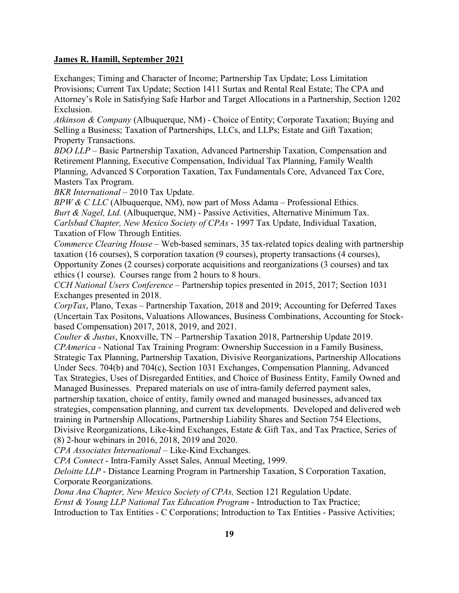Exchanges; Timing and Character of Income; Partnership Tax Update; Loss Limitation Provisions; Current Tax Update; Section 1411 Surtax and Rental Real Estate; The CPA and Attorney's Role in Satisfying Safe Harbor and Target Allocations in a Partnership, Section 1202 Exclusion.

*Atkinson & Company* (Albuquerque, NM) - Choice of Entity; Corporate Taxation; Buying and Selling a Business; Taxation of Partnerships, LLCs, and LLPs; Estate and Gift Taxation; Property Transactions.

*BDO LLP* – Basic Partnership Taxation, Advanced Partnership Taxation, Compensation and Retirement Planning, Executive Compensation, Individual Tax Planning, Family Wealth Planning, Advanced S Corporation Taxation, Tax Fundamentals Core, Advanced Tax Core, Masters Tax Program.

*BKR International* – 2010 Tax Update.

*BPW & C LLC* (Albuquerque, NM), now part of Moss Adama – Professional Ethics. *Burt & Nagel, Ltd.* (Albuquerque, NM) - Passive Activities, Alternative Minimum Tax. *Carlsbad Chapter, New Mexico Society of CPAs* - 1997 Tax Update, Individual Taxation, Taxation of Flow Through Entities.

*Commerce Clearing House* – Web-based seminars, 35 tax-related topics dealing with partnership taxation (16 courses), S corporation taxation (9 courses), property transactions (4 courses), Opportunity Zones (2 courses) corporate acquisitions and reorganizations (3 courses) and tax

ethics (1 course). Courses range from 2 hours to 8 hours.

*CCH National Users Conference* – Partnership topics presented in 2015, 2017; Section 1031 Exchanges presented in 2018.

*CorpTax*, Plano, Texas – Partnership Taxation, 2018 and 2019; Accounting for Deferred Taxes (Uncertain Tax Positons, Valuations Allowances, Business Combinations, Accounting for Stockbased Compensation) 2017, 2018, 2019, and 2021.

*Coulter & Justus*, Knoxville, TN – Partnership Taxation 2018, Partnership Update 2019. *CPAmerica* - National Tax Training Program: Ownership Succession in a Family Business, Strategic Tax Planning, Partnership Taxation, Divisive Reorganizations, Partnership Allocations Under Secs. 704(b) and 704(c), Section 1031 Exchanges, Compensation Planning, Advanced Tax Strategies, Uses of Disregarded Entities, and Choice of Business Entity, Family Owned and Managed Businesses. Prepared materials on use of intra-family deferred payment sales, partnership taxation, choice of entity, family owned and managed businesses, advanced tax strategies, compensation planning, and current tax developments. Developed and delivered web

training in Partnership Allocations, Partnership Liability Shares and Section 754 Elections, Divisive Reorganizations, Like-kind Exchanges, Estate & Gift Tax, and Tax Practice, Series of (8) 2-hour webinars in 2016, 2018, 2019 and 2020.

*CPA Associates International* – Like-Kind Exchanges.

*CPA Connect* - Intra-Family Asset Sales, Annual Meeting, 1999.

*Deloitte LLP* - Distance Learning Program in Partnership Taxation, S Corporation Taxation, Corporate Reorganizations.

*Dona Ana Chapter, New Mexico Society of CPAs,* Section 121 Regulation Update.

*Ernst & Young LLP National Tax Education Program* - Introduction to Tax Practice;

Introduction to Tax Entities - C Corporations; Introduction to Tax Entities - Passive Activities;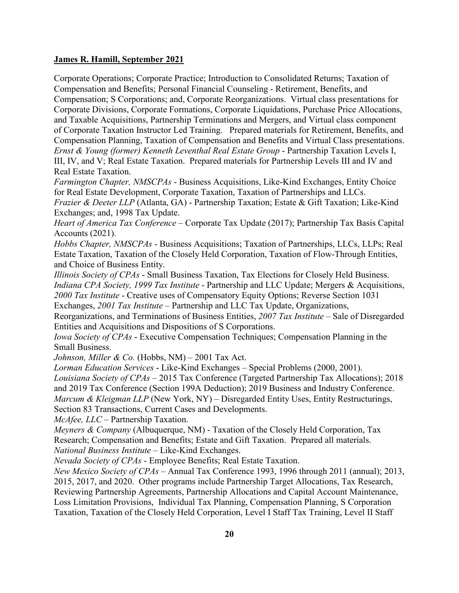Corporate Operations; Corporate Practice; Introduction to Consolidated Returns; Taxation of Compensation and Benefits; Personal Financial Counseling - Retirement, Benefits, and Compensation; S Corporations; and, Corporate Reorganizations. Virtual class presentations for Corporate Divisions, Corporate Formations, Corporate Liquidations, Purchase Price Allocations, and Taxable Acquisitions, Partnership Terminations and Mergers, and Virtual class component of Corporate Taxation Instructor Led Training. Prepared materials for Retirement, Benefits, and Compensation Planning, Taxation of Compensation and Benefits and Virtual Class presentations. *Ernst & Young (former) Kenneth Leventhal Real Estate Group* - Partnership Taxation Levels I, III, IV, and V; Real Estate Taxation. Prepared materials for Partnership Levels III and IV and Real Estate Taxation.

*Farmington Chapter, NMSCPAs* - Business Acquisitions, Like-Kind Exchanges, Entity Choice for Real Estate Development, Corporate Taxation, Taxation of Partnerships and LLCs.

*Frazier & Deeter LLP* (Atlanta, GA) - Partnership Taxation; Estate & Gift Taxation; Like-Kind Exchanges; and, 1998 Tax Update.

*Heart of America Tax Conference* – Corporate Tax Update (2017); Partnership Tax Basis Capital Accounts (2021).

*Hobbs Chapter, NMSCPAs* - Business Acquisitions; Taxation of Partnerships, LLCs, LLPs; Real Estate Taxation, Taxation of the Closely Held Corporation, Taxation of Flow-Through Entities, and Choice of Business Entity.

*Illinois Society of CPAs* - Small Business Taxation, Tax Elections for Closely Held Business. *Indiana CPA Society, 1999 Tax Institute* - Partnership and LLC Update; Mergers & Acquisitions, *2000 Tax Institute* - Creative uses of Compensatory Equity Options; Reverse Section 1031 Exchanges, *2001 Tax Institute* – Partnership and LLC Tax Update, Organizations,

Reorganizations, and Terminations of Business Entities, *2007 Tax Institute* – Sale of Disregarded Entities and Acquisitions and Dispositions of S Corporations.

*Iowa Society of CPAs* - Executive Compensation Techniques; Compensation Planning in the Small Business.

*Johnson, Miller & Co.* (Hobbs, NM) – 2001 Tax Act.

*Lorman Education Services* - Like-Kind Exchanges – Special Problems (2000, 2001).

*Louisiana Society of CPAs* – 2015 Tax Conference (Targeted Partnership Tax Allocations); 2018

and 2019 Tax Conference (Section 199A Deduction); 2019 Business and Industry Conference.

*Marcum & Kleigman LLP* (New York, NY) – Disregarded Entity Uses, Entity Restructurings,

Section 83 Transactions, Current Cases and Developments.

*McAfee, LLC* – Partnership Taxation.

*Meyners & Company* (Albuquerque, NM) - Taxation of the Closely Held Corporation, Tax Research; Compensation and Benefits; Estate and Gift Taxation. Prepared all materials. *National Business Institute* – Like-Kind Exchanges.

*Nevada Society of CPAs* - Employee Benefits; Real Estate Taxation.

*New Mexico Society of CPAs* – Annual Tax Conference 1993, 1996 through 2011 (annual); 2013, 2015, 2017, and 2020. Other programs include Partnership Target Allocations, Tax Research, Reviewing Partnership Agreements, Partnership Allocations and Capital Account Maintenance, Loss Limitation Provisions, Individual Tax Planning, Compensation Planning, S Corporation Taxation, Taxation of the Closely Held Corporation, Level I Staff Tax Training, Level II Staff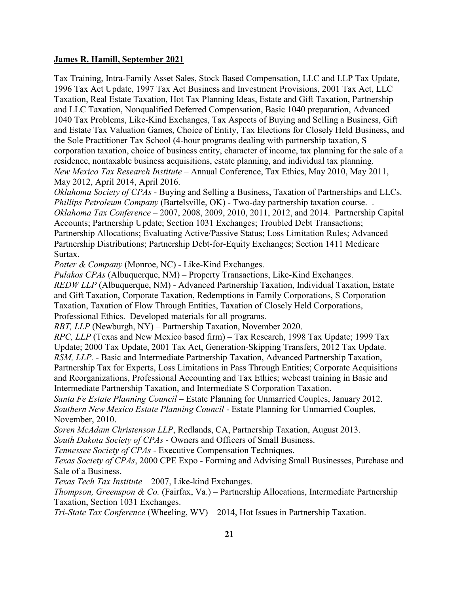Tax Training, Intra-Family Asset Sales, Stock Based Compensation, LLC and LLP Tax Update, 1996 Tax Act Update, 1997 Tax Act Business and Investment Provisions, 2001 Tax Act, LLC Taxation, Real Estate Taxation, Hot Tax Planning Ideas, Estate and Gift Taxation, Partnership and LLC Taxation, Nonqualified Deferred Compensation, Basic 1040 preparation, Advanced 1040 Tax Problems, Like-Kind Exchanges, Tax Aspects of Buying and Selling a Business, Gift and Estate Tax Valuation Games, Choice of Entity, Tax Elections for Closely Held Business, and the Sole Practitioner Tax School (4-hour programs dealing with partnership taxation, S corporation taxation, choice of business entity, character of income, tax planning for the sale of a residence, nontaxable business acquisitions, estate planning, and individual tax planning. *New Mexico Tax Research Institute* – Annual Conference, Tax Ethics, May 2010, May 2011, May 2012, April 2014, April 2016.

*Oklahoma Society of CPAs* - Buying and Selling a Business, Taxation of Partnerships and LLCs. *Phillips Petroleum Company* (Bartelsville, OK) - Two-day partnership taxation course. . *Oklahoma Tax Conference* – 2007, 2008, 2009, 2010, 2011, 2012, and 2014. Partnership Capital Accounts; Partnership Update; Section 1031 Exchanges; Troubled Debt Transactions; Partnership Allocations; Evaluating Active/Passive Status; Loss Limitation Rules; Advanced Partnership Distributions; Partnership Debt-for-Equity Exchanges; Section 1411 Medicare Surtax.

*Potter & Company* (Monroe, NC) - Like-Kind Exchanges.

*Pulakos CPAs* (Albuquerque, NM) – Property Transactions, Like-Kind Exchanges. *REDW LLP* (Albuquerque, NM) - Advanced Partnership Taxation, Individual Taxation, Estate and Gift Taxation, Corporate Taxation, Redemptions in Family Corporations, S Corporation Taxation, Taxation of Flow Through Entities, Taxation of Closely Held Corporations, Professional Ethics. Developed materials for all programs.

*RBT, LLP* (Newburgh, NY) – Partnership Taxation, November 2020.

*RPC, LLP* (Texas and New Mexico based firm) – Tax Research, 1998 Tax Update; 1999 Tax Update; 2000 Tax Update, 2001 Tax Act, Generation-Skipping Transfers, 2012 Tax Update. *RSM, LLP.* - Basic and Intermediate Partnership Taxation, Advanced Partnership Taxation, Partnership Tax for Experts, Loss Limitations in Pass Through Entities; Corporate Acquisitions and Reorganizations, Professional Accounting and Tax Ethics; webcast training in Basic and Intermediate Partnership Taxation, and Intermediate S Corporation Taxation.

*Santa Fe Estate Planning Council* – Estate Planning for Unmarried Couples, January 2012. *Southern New Mexico Estate Planning Council* - Estate Planning for Unmarried Couples, November, 2010.

*Soren McAdam Christenson LLP*, Redlands, CA, Partnership Taxation, August 2013. *South Dakota Society of CPAs* - Owners and Officers of Small Business.

*Tennessee Society of CPAs* - Executive Compensation Techniques.

*Texas Society of CPAs*, 2000 CPE Expo - Forming and Advising Small Businesses, Purchase and Sale of a Business.

*Texas Tech Tax Institute* – 2007, Like-kind Exchanges.

*Thompson, Greenspon & Co.* (Fairfax, Va.) – Partnership Allocations, Intermediate Partnership Taxation, Section 1031 Exchanges.

*Tri-State Tax Conference* (Wheeling, WV) – 2014, Hot Issues in Partnership Taxation.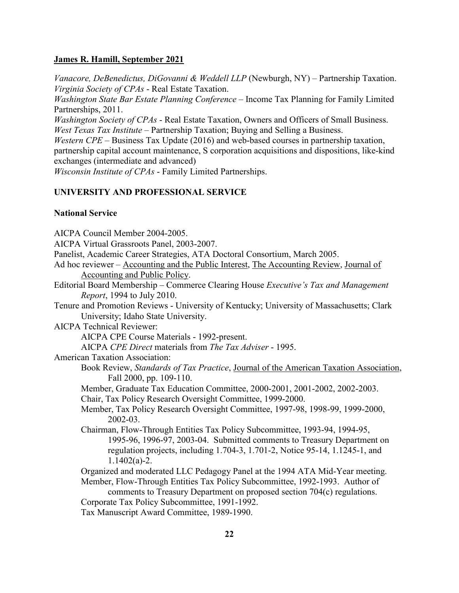*Vanacore, DeBenedictus, DiGovanni & Weddell LLP* (Newburgh, NY) – Partnership Taxation. *Virginia Society of CPAs* - Real Estate Taxation.

*Washington State Bar Estate Planning Conference* – Income Tax Planning for Family Limited Partnerships, 2011.

*Washington Society of CPAs* - Real Estate Taxation, Owners and Officers of Small Business. *West Texas Tax Institute* – Partnership Taxation; Buying and Selling a Business.

*Western CPE* – Business Tax Update (2016) and web-based courses in partnership taxation, partnership capital account maintenance, S corporation acquisitions and dispositions, like-kind exchanges (intermediate and advanced)

*Wisconsin Institute of CPAs* - Family Limited Partnerships.

## **UNIVERSITY AND PROFESSIONAL SERVICE**

#### **National Service**

AICPA Council Member 2004-2005. AICPA Virtual Grassroots Panel, 2003-2007. Panelist, Academic Career Strategies, ATA Doctoral Consortium, March 2005. Ad hoc reviewer – Accounting and the Public Interest, The Accounting Review, Journal of Accounting and Public Policy. Editorial Board Membership – Commerce Clearing House *Executive's Tax and Management Report*, 1994 to July 2010. Tenure and Promotion Reviews - University of Kentucky; University of Massachusetts; Clark University; Idaho State University. AICPA Technical Reviewer: AICPA CPE Course Materials - 1992-present. AICPA *CPE Direct* materials from *The Tax Adviser* - 1995. American Taxation Association: Book Review, *Standards of Tax Practice*, Journal of the American Taxation Association, Fall 2000, pp. 109-110. Member, Graduate Tax Education Committee, 2000-2001, 2001-2002, 2002-2003. Chair, Tax Policy Research Oversight Committee, 1999-2000. Member, Tax Policy Research Oversight Committee, 1997-98, 1998-99, 1999-2000, 2002-03. Chairman, Flow-Through Entities Tax Policy Subcommittee, 1993-94, 1994-95, 1995-96, 1996-97, 2003-04. Submitted comments to Treasury Department on regulation projects, including 1.704-3, 1.701-2, Notice 95-14, 1.1245-1, and  $1.1402(a)-2.$ Organized and moderated LLC Pedagogy Panel at the 1994 ATA Mid-Year meeting. Member, Flow-Through Entities Tax Policy Subcommittee, 1992-1993. Author of comments to Treasury Department on proposed section 704(c) regulations. Corporate Tax Policy Subcommittee, 1991-1992. Tax Manuscript Award Committee, 1989-1990.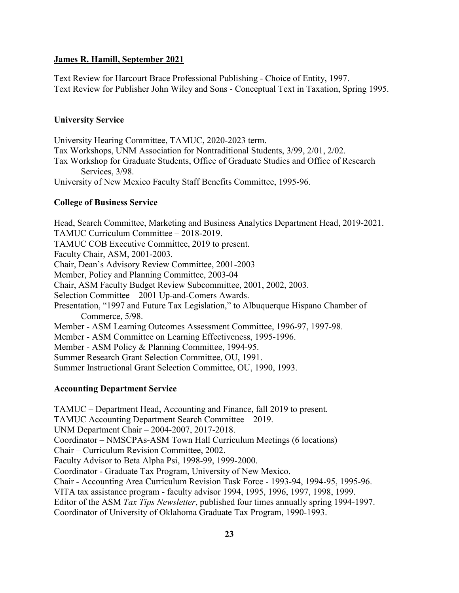Text Review for Harcourt Brace Professional Publishing - Choice of Entity, 1997. Text Review for Publisher John Wiley and Sons - Conceptual Text in Taxation, Spring 1995.

# **University Service**

University Hearing Committee, TAMUC, 2020-2023 term. Tax Workshops, UNM Association for Nontraditional Students, 3/99, 2/01, 2/02. Tax Workshop for Graduate Students, Office of Graduate Studies and Office of Research Services, 3/98. University of New Mexico Faculty Staff Benefits Committee, 1995-96.

# **College of Business Service**

Head, Search Committee, Marketing and Business Analytics Department Head, 2019-2021. TAMUC Curriculum Committee – 2018-2019. TAMUC COB Executive Committee, 2019 to present. Faculty Chair, ASM, 2001-2003. Chair, Dean's Advisory Review Committee, 2001-2003 Member, Policy and Planning Committee, 2003-04 Chair, ASM Faculty Budget Review Subcommittee, 2001, 2002, 2003. Selection Committee – 2001 Up-and-Comers Awards. Presentation, "1997 and Future Tax Legislation," to Albuquerque Hispano Chamber of Commerce, 5/98. Member - ASM Learning Outcomes Assessment Committee, 1996-97, 1997-98. Member - ASM Committee on Learning Effectiveness, 1995-1996. Member - ASM Policy & Planning Committee, 1994-95. Summer Research Grant Selection Committee, OU, 1991. Summer Instructional Grant Selection Committee, OU, 1990, 1993.

## **Accounting Department Service**

TAMUC – Department Head, Accounting and Finance, fall 2019 to present. TAMUC Accounting Department Search Committee – 2019. UNM Department Chair – 2004-2007, 2017-2018. Coordinator – NMSCPAs-ASM Town Hall Curriculum Meetings (6 locations) Chair – Curriculum Revision Committee, 2002. Faculty Advisor to Beta Alpha Psi, 1998-99, 1999-2000. Coordinator - Graduate Tax Program, University of New Mexico. Chair - Accounting Area Curriculum Revision Task Force - 1993-94, 1994-95, 1995-96. VITA tax assistance program - faculty advisor 1994, 1995, 1996, 1997, 1998, 1999. Editor of the ASM *Tax Tips Newsletter*, published four times annually spring 1994-1997. Coordinator of University of Oklahoma Graduate Tax Program, 1990-1993.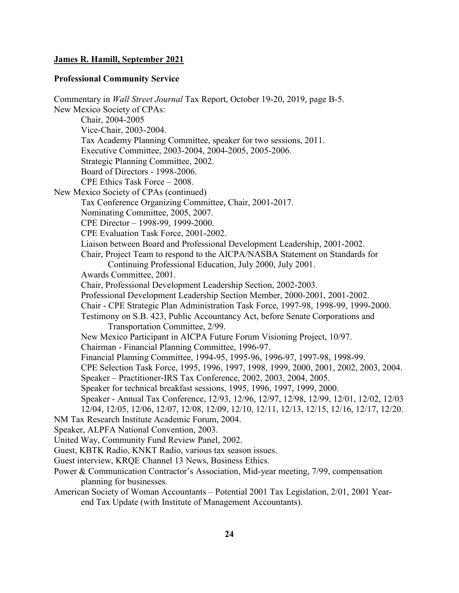#### **Professional Community Service**

Commentary in *Wall Street Journal* Tax Report, October 19-20, 2019, page B-5. New Mexico Society of CPAs: Chair, 2004-2005 Vice-Chair, 2003-2004. Tax Academy Planning Committee, speaker for two sessions, 2011. Executive Committee, 2003-2004, 2004-2005, 2005-2006. Strategic Planning Committee, 2002. Board of Directors - 1998-2006. CPE Ethics Task Force – 2008. New Mexico Society of CPAs (continued) Tax Conference Organizing Committee, Chair, 2001-2017. Nominating Committee, 2005, 2007. CPE Director – 1998-99, 1999-2000. CPE Evaluation Task Force, 2001-2002. Liaison between Board and Professional Development Leadership, 2001-2002. Chair, Project Team to respond to the AICPA/NASBA Statement on Standards for Continuing Professional Education, July 2000, July 2001. Awards Committee, 2001. Chair, Professional Development Leadership Section, 2002-2003. Professional Development Leadership Section Member, 2000-2001, 2001-2002. Chair - CPE Strategic Plan Administration Task Force, 1997-98, 1998-99, 1999-2000. Testimony on S.B. 423, Public Accountancy Act, before Senate Corporations and Transportation Committee, 2/99. New Mexico Participant in AICPA Future Forum Visioning Project, 10/97. Chairman - Financial Planning Committee, 1996-97. Financial Planning Committee, 1994-95, 1995-96, 1996-97, 1997-98, 1998-99. CPE Selection Task Force, 1995, 1996, 1997, 1998, 1999, 2000, 2001, 2002, 2003, 2004. Speaker – Practitioner-IRS Tax Conference, 2002, 2003, 2004, 2005. Speaker for technical breakfast sessions, 1995, 1996, 1997, 1999, 2000. Speaker - Annual Tax Conference, 12/93, 12/96, 12/97, 12/98, 12/99, 12/01, 12/02, 12/03 12/04, 12/05, 12/06, 12/07, 12/08, 12/09, 12/10, 12/11, 12/13, 12/15, 12/16, 12/17, 12/20. NM Tax Research Institute Academic Forum, 2004. Speaker, ALPFA National Convention, 2003. United Way, Community Fund Review Panel, 2002. Guest, KBTK Radio, KNKT Radio, various tax season issues. Guest interview, KRQE Channel 13 News, Business Ethics. Power & Communication Contractor's Association, Mid-year meeting, 7/99, compensation planning for businesses. American Society of Woman Accountants – Potential 2001 Tax Legislation, 2/01, 2001 Yearend Tax Update (with Institute of Management Accountants).